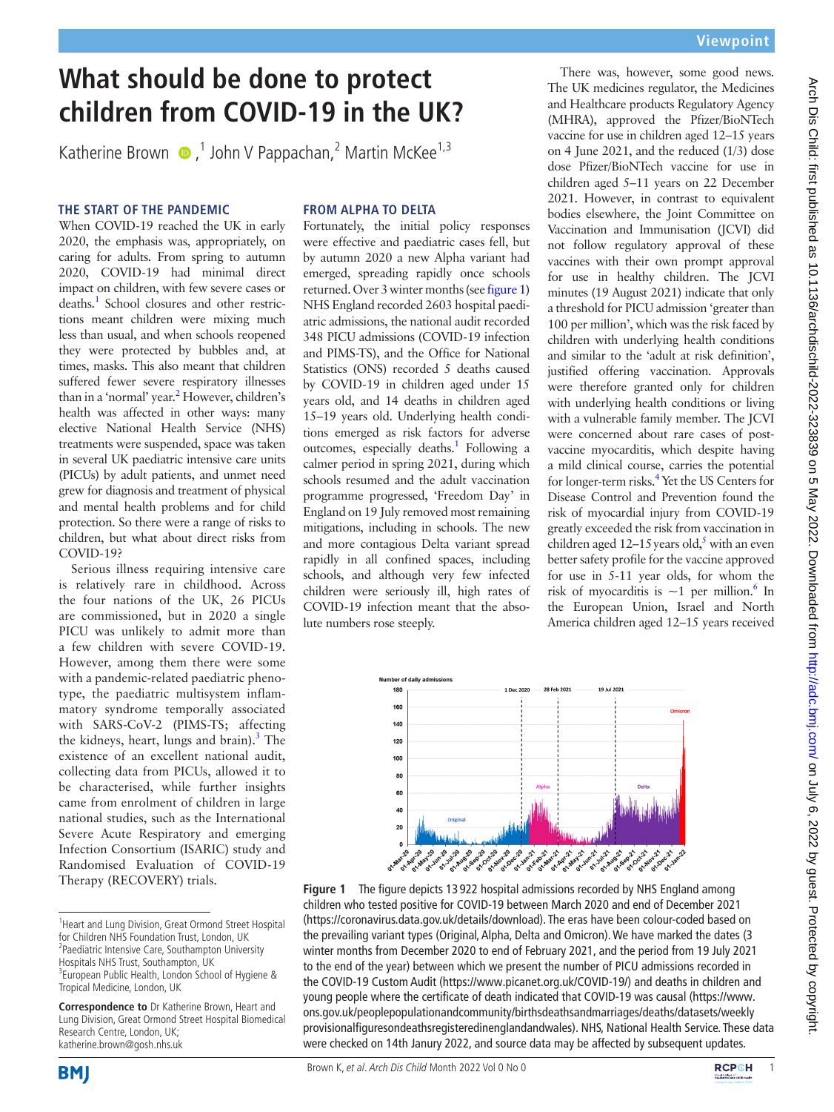# **What should be done to protect children from COVID-19 in the UK?**

Katherine Brown  $\bullet$ ,<sup>1</sup> John V Pappachan,<sup>2</sup> Martin McKee<sup>1,3</sup>

## **THE START OF THE PANDEMIC**

When COVID-19 reached the UK in early 2020, the emphasis was, appropriately, on caring for adults. From spring to autumn 2020, COVID-19 had minimal direct impact on children, with few severe cases or deaths.<sup>[1](#page-1-0)</sup> School closures and other restrictions meant children were mixing much less than usual, and when schools reopened they were protected by bubbles and, at times, masks. This also meant that children suffered fewer severe respiratory illnesses than in a 'normal' year.<sup>2</sup> However, children's health was affected in other ways: many elective National Health Service (NHS) treatments were suspended, space was taken in several UK paediatric intensive care units (PICUs) by adult patients, and unmet need grew for diagnosis and treatment of physical and mental health problems and for child protection. So there were a range of risks to children, but what about direct risks from COVID-19?

Serious illness requiring intensive care is relatively rare in childhood. Across the four nations of the UK, 26 PICUs are commissioned, but in 2020 a single PICU was unlikely to admit more than a few children with severe COVID-19. However, among them there were some with a pandemic-related paediatric phenotype, the paediatric multisystem inflammatory syndrome temporally associated with SARS-CoV-2 (PIMS-TS; affecting the kidneys, heart, lungs and brain).<sup>[3](#page-1-2)</sup> The existence of an excellent national audit, collecting data from PICUs, allowed it to be characterised, while further insights came from enrolment of children in large national studies, such as the International Severe Acute Respiratory and emerging Infection Consortium (ISARIC) study and Randomised Evaluation of COVID-19 Therapy (RECOVERY) trials.

## **FROM ALPHA TO DELTA**

Fortunately, the initial policy responses were effective and paediatric cases fell, but by autumn 2020 a new Alpha variant had emerged, spreading rapidly once schools returned. Over 3 winter months (see [figure1\)](#page-0-0) NHS England recorded 2603 hospital paediatric admissions, the national audit recorded 348 PICU admissions (COVID-19 infection and PIMS-TS), and the Office for National Statistics (ONS) recorded 5 deaths caused by COVID-19 in children aged under 15 years old, and 14 deaths in children aged 15–19 years old. Underlying health conditions emerged as risk factors for adverse outcomes, especially deaths.<sup>[1](#page-1-0)</sup> Following a calmer period in spring 2021, during which schools resumed and the adult vaccination programme progressed, 'Freedom Day' in England on 19 July removed most remaining mitigations, including in schools. The new and more contagious Delta variant spread rapidly in all confined spaces, including schools, and although very few infected children were seriously ill, high rates of COVID-19 infection meant that the absolute numbers rose steeply.

There was, however, some good news. The UK medicines regulator, the Medicines and Healthcare products Regulatory Agency (MHRA), approved the Pfizer/BioNTech vaccine for use in children aged 12–15 years on 4 June 2021, and the reduced (1/3) dose dose Pfizer/BioNTech vaccine for use in children aged 5–11 years on 22 December 2021. However, in contrast to equivalent bodies elsewhere, the Joint Committee on Vaccination and Immunisation (JCVI) did not follow regulatory approval of these vaccines with their own prompt approval for use in healthy children. The JCVI minutes (19 August 2021) indicate that only a threshold for PICU admission 'greater than 100 per million', which was the risk faced by children with underlying health conditions and similar to the 'adult at risk definition', justified offering vaccination. Approvals were therefore granted only for children with underlying health conditions or living with a vulnerable family member. The JCVI were concerned about rare cases of postvaccine myocarditis, which despite having a mild clinical course, carries the potential for longer-term risks.<sup>4</sup> Yet the US Centers for Disease Control and Prevention found the risk of myocardial injury from COVID-19 greatly exceeded the risk from vaccination in children aged  $12-15$  $12-15$  years old,<sup>5</sup> with an even better safety profile for the vaccine approved for use in 5-11 year olds, for whom the risk of myocarditis is  $\sim$ 1 per million.<sup>6</sup> In the European Union, Israel and North America children aged 12–15 years received



<span id="page-0-0"></span>



<sup>&</sup>lt;sup>1</sup> Heart and Lung Division, Great Ormond Street Hospital for Children NHS Foundation Trust, London, UK <sup>2</sup>Paediatric Intensive Care, Southampton University Hospitals NHS Trust, Southampton, UK <sup>3</sup>European Public Health, London School of Hygiene & Tropical Medicine, London, UK

**Correspondence to** Dr Katherine Brown, Heart and Lung Division, Great Ormond Street Hospital Biomedical Research Centre, London, UK; katherine.brown@gosh.nhs.uk